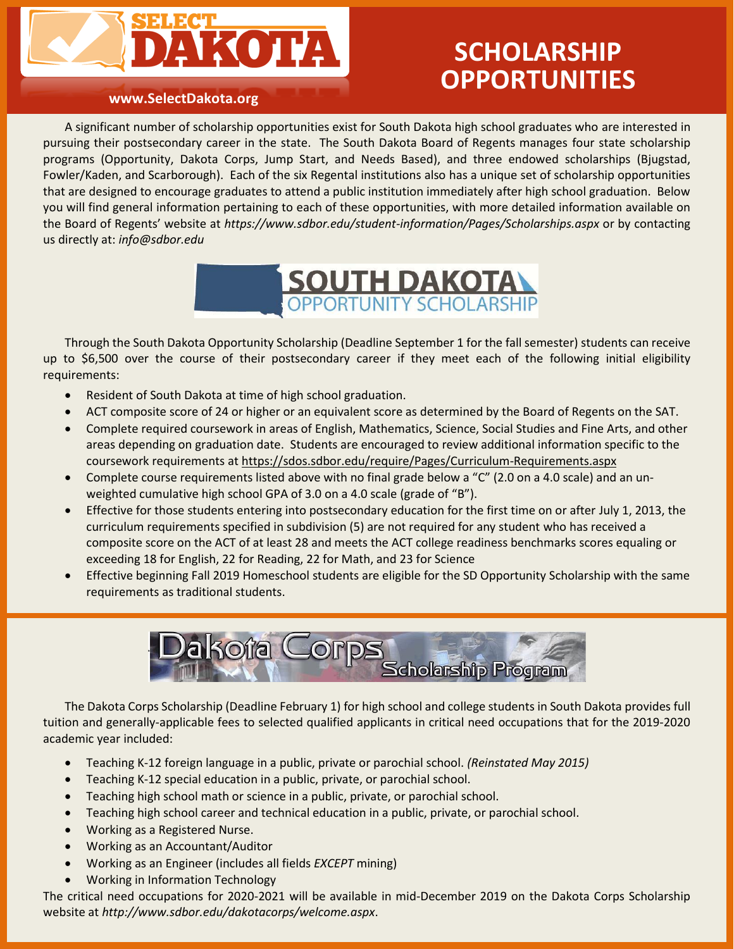

# **SCHOLARSHIP OPPORTUNITIES**

#### **www.SelectDakota.org**

A significant number of scholarship opportunities exist for South Dakota high school graduates who are interested in pursuing their postsecondary career in the state. The South Dakota Board of Regents manages four state scholarship programs (Opportunity, Dakota Corps, Jump Start, and Needs Based), and three endowed scholarships (Bjugstad, Fowler/Kaden, and Scarborough). Each of the six Regental institutions also has a unique set of scholarship opportunities that are designed to encourage graduates to attend a public institution immediately after high school graduation. Below you will find general information pertaining to each of these opportunities, with more detailed information available on the Board of Regents' website at *<https://www.sdbor.edu/student-information/Pages/Scholarships.aspx>* or by contacting us directly at: *[info@sdbor.edu](mailto:info@sdbor.edu)*



Through the South Dakota Opportunity Scholarship (Deadline September 1 for the fall semester) students can receive up to \$6,500 over the course of their postsecondary career if they meet each of the following initial eligibility requirements:

- Resident of South Dakota at time of high school graduation.
- ACT composite score of 24 or higher or an equivalent score as determined by the Board of Regents on the SAT.
- Complete required coursework in areas of English, Mathematics, Science, Social Studies and Fine Arts, and other areas depending on graduation date. Students are encouraged to review additional information specific to the coursework requirements at https://sdos.sdbor.edu/require/Pages/Curriculum-Requirements.aspx
- Complete course requirements listed above with no final grade below a "C" (2.0 on a 4.0 scale) and an unweighted cumulative high school GPA of 3.0 on a 4.0 scale (grade of "B").
- Effective for those students entering into postsecondary education for the first time on or after July 1, 2013, the curriculum requirements specified in subdivision (5) are not required for any student who has received a composite score on the ACT of at least 28 and meets the ACT college readiness benchmarks scores equaling or exceeding 18 for English, 22 for Reading, 22 for Math, and 23 for Science
- Effective beginning Fall 2019 Homeschool students are eligible for the SD Opportunity Scholarship with the same requirements as traditional students.



The Dakota Corps Scholarship (Deadline February 1) for high school and college students in South Dakota provides full tuition and generally-applicable fees to selected qualified applicants in critical need occupations that for the 2019-2020 academic year included:

- Teaching K-12 foreign language in a public, private or parochial school. *(Reinstated May 2015)*
- Teaching K-12 special education in a public, private, or parochial school.
- Teaching high school math or science in a public, private, or parochial school.
- Teaching high school career and technical education in a public, private, or parochial school.
- Working as a Registered Nurse.
- Working as an Accountant/Auditor
- Working as an Engineer (includes all fields *EXCEPT* mining)
- Working in Information Technology

The critical need occupations for 2020-2021 will be available in mid-December 2019 on the Dakota Corps Scholarship website at *<http://www.sdbor.edu/dakotacorps/welcome.aspx>*.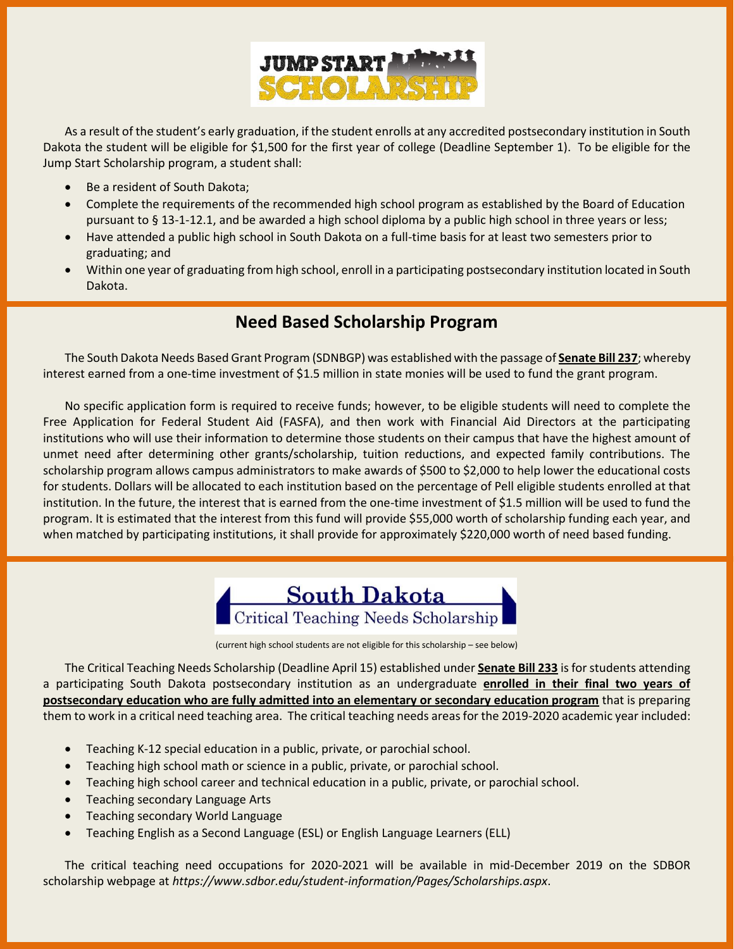

As a result of the student's early graduation, if the student enrolls at any accredited postsecondary institution in South Dakota the student will be eligible for \$1,500 for the first year of college (Deadline September 1). To be eligible for the Jump Start Scholarship program, a student shall:

- Be a resident of South Dakota;
- Complete the requirements of the recommended high school program as established by the Board of Education pursuant to § 13-1-12.1, and be awarded a high school diploma by a public high school in three years or less;
- Have attended a public high school in South Dakota on a full-time basis for at least two semesters prior to graduating; and
- Within one year of graduating from high school, enroll in a participating postsecondary institution located in South Dakota.

## **Need Based Scholarship Program**

The South Dakota Needs Based Grant Program (SDNBGP) was established with the passage of **[Senate Bill 237](http://legis.state.sd.us/sessions/2013/Bills/SB237ENR.pdf)**; whereby interest earned from a one-time investment of \$1.5 million in state monies will be used to fund the grant program.

No specific application form is required to receive funds; however, to be eligible students will need to complete the Free Application for Federal Student Aid (FASFA), and then work with Financial Aid Directors at the participating institutions who will use their information to determine those students on their campus that have the highest amount of unmet need after determining other grants/scholarship, tuition reductions, and expected family contributions. The scholarship program allows campus administrators to make awards of \$500 to \$2,000 to help lower the educational costs for students. Dollars will be allocated to each institution based on the percentage of Pell eligible students enrolled at that institution. In the future, the interest that is earned from the one-time investment of \$1.5 million will be used to fund the program. It is estimated that the interest from this fund will provide \$55,000 worth of scholarship funding each year, and when matched by participating institutions, it shall provide for approximately \$220,000 worth of need based funding.



<sup>(</sup>current high school students are not eligible for this scholarship – see below)

The Critical Teaching Needs Scholarship (Deadline April 15) established under **[Senate Bill 233](http://legis.sd.gov/docs/legsession/2013/Bills/SB233ENR.pdf)** is for students attending a participating South Dakota postsecondary institution as an undergraduate **enrolled in their final two years of postsecondary education who are fully admitted into an elementary or secondary education program** that is preparing them to work in a critical need teaching area. The critical teaching needs areas for the 2019-2020 academic year included:

- Teaching K-12 special education in a public, private, or parochial school.
- Teaching high school math or science in a public, private, or parochial school.
- Teaching high school career and technical education in a public, private, or parochial school.
- Teaching secondary Language Arts
- Teaching secondary World Language
- Teaching English as a Second Language (ESL) or English Language Learners (ELL)

The critical teaching need occupations for 2020-2021 will be available in mid-December 2019 on the SDBOR scholarship webpage at *<https://www.sdbor.edu/student-information/Pages/Scholarships.aspx>*.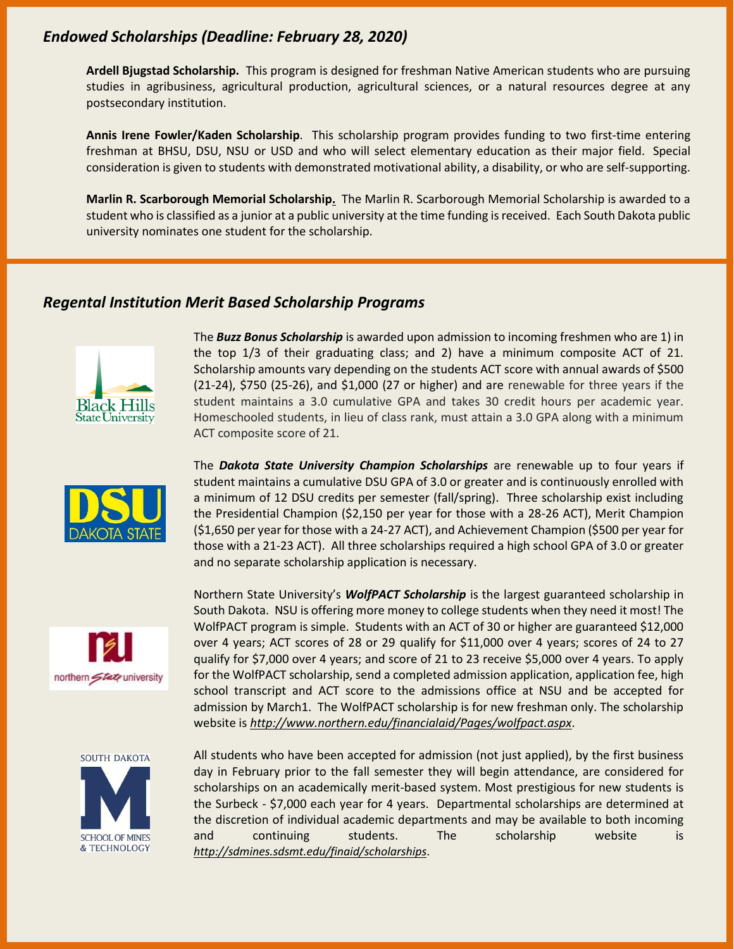### *Endowed Scholarships (Deadline: February 28, 2020)*

**Ardell Bjugstad Scholarship.** This program is designed for freshman Native American students who are pursuing studies in agribusiness, agricultural production, agricultural sciences, or a natural resources degree at any postsecondary institution.

**Annis Irene Fowler/Kaden Scholarship**. This scholarship program provides funding to two first-time entering freshman at BHSU, DSU, NSU or USD and who will select elementary education as their major field. Special consideration is given to students with demonstrated motivational ability, a disability, or who are self-supporting.

**Marlin R. Scarborough Memorial Scholarship.** The Marlin R. Scarborough Memorial Scholarship is awarded to a student who is classified as a junior at a public university at the time funding is received. Each South Dakota public university nominates one student for the scholarship.

#### *Regental Institution Merit Based Scholarship Programs*







The *Buzz Bonus Scholarship* is awarded upon admission to incoming freshmen who are 1) in the top 1/3 of their graduating class; and 2) have a minimum composite ACT of 21. Scholarship amounts vary depending on the students ACT score with annual awards of \$500 (21-24), \$750 (25-26), and \$1,000 (27 or higher) and are renewable for three years if the student maintains a 3.0 cumulative GPA and takes 30 credit hours per academic year. Homeschooled students, in lieu of class rank, must attain a 3.0 GPA along with a minimum ACT composite score of 21.

The *Dakota State University Champion Scholarships* are renewable up to four years if student maintains a cumulative DSU GPA of 3.0 or greater and is continuously enrolled with a minimum of 12 DSU credits per semester (fall/spring). Three scholarship exist including the Presidential Champion (\$2,150 per year for those with a 28-26 ACT), Merit Champion (\$1,650 per year for those with a 24-27 ACT), and Achievement Champion (\$500 per year for those with a 21-23 ACT). All three scholarships required a high school GPA of 3.0 or greater and no separate scholarship application is necessary.

Northern State University's *WolfPACT Scholarship* is the largest guaranteed scholarship in South Dakota. NSU is offering more money to college students when they need it most! The WolfPACT program is simple. Students with an ACT of 30 or higher are guaranteed \$12,000 over 4 years; ACT scores of 28 or 29 qualify for \$11,000 over 4 years; scores of 24 to 27 qualify for \$7,000 over 4 years; and score of 21 to 23 receive \$5,000 over 4 years. To apply for the WolfPACT scholarship, send a completed admission application, application fee, high school transcript and ACT score to the admissions office at NSU and be accepted for admission by March1. The WolfPACT scholarship is for new freshman only. The scholarship website is *<http://www.northern.edu/financialaid/Pages/wolfpact.aspx>*.

All students who have been accepted for admission (not just applied), by the first business day in February prior to the fall semester they will begin attendance, are considered for scholarships on an academically merit-based system. Most prestigious for new students is the Surbeck - \$7,000 each year for 4 years. Departmental scholarships are determined at the discretion of individual academic departments and may be available to both incoming and continuing students. The scholarship website is *<http://sdmines.sdsmt.edu/finaid/scholarships>*.